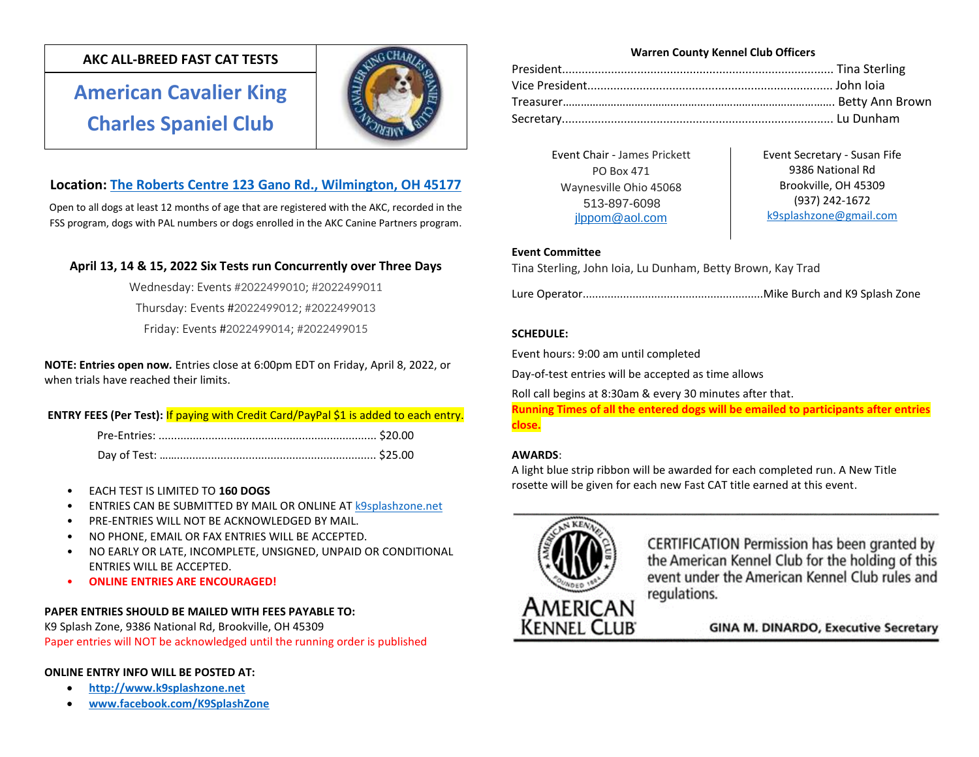# **AKC ALL-BREED FAST CAT TESTS**

# **American Cavalier King Charles Spaniel Club**



# **Location: [The Roberts Centre 123 Gano Rd., Wilmington, OH 45177](https://www.google.com/maps/place/Roberts+Centre/@39.5221898,-83.8448787,17z/data=!3m1!4b1!4m5!3m4!1s0x8840b8d3c757915b:0xcec40842d9d9fd65!8m2!3d39.5221898!4d-83.84269)**

Open to all dogs at least 12 months of age that are registered with the AKC, recorded in the FSS program, dogs with PAL numbers or dogs enrolled in the AKC Canine Partners program.

## **April 13, 14 & 15, 2022 Six Tests run Concurrently over Three Days**

Wednesday: Events #2022499010; #2022499011 Thursday: Events #2022499012; #2022499013 Friday: Events #2022499014; #2022499015

**NOTE: Entries open now***.* Entries close at 6:00pm EDT on Friday, April 8, 2022, or when trials have reached their limits.

#### **ENTRY FEES (Per Test):** If paying with Credit Card/PayPal \$1 is added to each entry.

- EACH TEST IS LIMITED TO **160 DOGS**
- ENTRIES CAN BE SUBMITTED BY MAIL OR ONLINE AT [k9splashzone.net](http://www.k9splashzone.net/)
- PRE-ENTRIES WILL NOT BE ACKNOWLEDGED BY MAIL.
- NO PHONE, EMAIL OR FAX ENTRIES WILL BE ACCEPTED.
- NO EARLY OR LATE, INCOMPLETE, UNSIGNED, UNPAID OR CONDITIONAL ENTRIES WILL BE ACCEPTED.
- **ONLINE ENTRIES ARE ENCOURAGED!**

#### **PAPER ENTRIES SHOULD BE MAILED WITH FEES PAYABLE TO:**

K9 Splash Zone, 9386 National Rd, Brookville, OH 45309 Paper entries will NOT be acknowledged until the running order is published

#### **ONLINE ENTRY INFO WILL BE POSTED AT:**

- **[http://www.k9splashzone.net](http://www.k9splashzone.net/)**
- **[www.facebook.com/K9SplashZone](https://www.facebook.com/K9SplashZone/)**

#### **Warren County Kennel Club Officers**

Event Chair - James Prickett PO Box 471 Waynesville Ohio 45068 513-897-6098 [jlppom@aol.com](mailto:jlppom@aol.com)

Event Secretary - Susan Fife 9386 National Rd Brookville, OH 45309 (937) 242-1672 [k9splashzone@gmail.com](mailto:k9splashzone@gmail.com?subject=WCKC%20Premium%20Inquiry)

#### **Event Committee**

Tina Sterling, John Ioia, Lu Dunham, Betty Brown, Kay Trad

Lure Operator..........................................................Mike Burch and K9 Splash Zone

#### **SCHEDULE:**

Event hours: 9:00 am until completed

Day-of-test entries will be accepted as time allows

Roll call begins at 8:30am & every 30 minutes after that.

**Running Times of all the entered dogs will be emailed to participants after entries close.**

#### **AWARDS**:

A light blue strip ribbon will be awarded for each completed run. A New Title rosette will be given for each new Fast CAT title earned at this event.



**CERTIFICATION Permission has been granted by** the American Kennel Club for the holding of this event under the American Kennel Club rules and requlations.

**GINA M. DINARDO, Executive Secretary**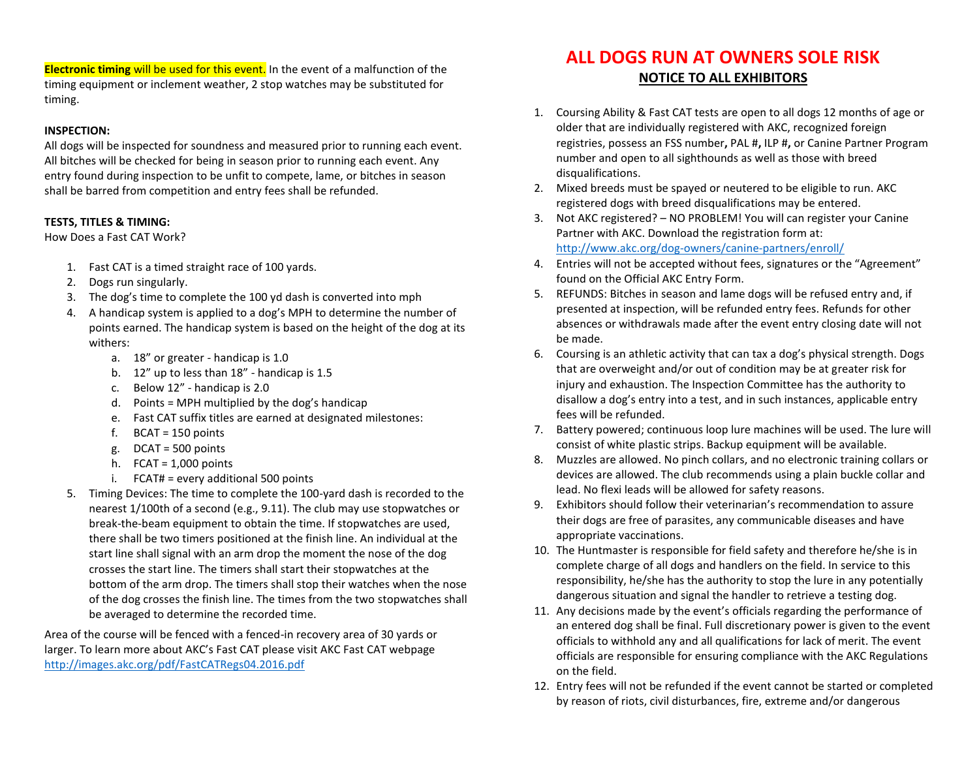**Electronic timing** will be used for this event. In the event of a malfunction of the timing equipment or inclement weather, 2 stop watches may be substituted for timing.

### **INSPECTION:**

All dogs will be inspected for soundness and measured prior to running each event. All bitches will be checked for being in season prior to running each event. Any entry found during inspection to be unfit to compete, lame, or bitches in season shall be barred from competition and entry fees shall be refunded.

### **TESTS, TITLES & TIMING:**

How Does a Fast CAT Work?

- 1. Fast CAT is a timed straight race of 100 yards.
- 2. Dogs run singularly.
- 3. The dog's time to complete the 100 yd dash is converted into mph
- 4. A handicap system is applied to a dog's MPH to determine the number of points earned. The handicap system is based on the height of the dog at its withers:
	- a. 18" or greater handicap is 1.0
	- b. 12" up to less than 18" handicap is 1.5
	- c. Below 12" handicap is 2.0
	- d. Points = MPH multiplied by the dog's handicap
	- e. Fast CAT suffix titles are earned at designated milestones:
	- f.  $BCAT = 150$  points
	- g. DCAT = 500 points
	- h.  $FCAT = 1,000$  points
	- i. FCAT# = every additional 500 points
- 5. Timing Devices: The time to complete the 100-yard dash is recorded to the nearest 1/100th of a second (e.g., 9.11). The club may use stopwatches or break-the-beam equipment to obtain the time. If stopwatches are used, there shall be two timers positioned at the finish line. An individual at the start line shall signal with an arm drop the moment the nose of the dog crosses the start line. The timers shall start their stopwatches at the bottom of the arm drop. The timers shall stop their watches when the nose of the dog crosses the finish line. The times from the two stopwatches shall be averaged to determine the recorded time.

Area of the course will be fenced with a fenced-in recovery area of 30 yards or larger. To learn more about AKC's Fast CAT please visit AKC Fast CAT webpage <http://images.akc.org/pdf/FastCATRegs04.2016.pdf>

# **ALL DOGS RUN AT OWNERS SOLE RISK NOTICE TO ALL EXHIBITORS**

- 1. Coursing Ability & Fast CAT tests are open to all dogs 12 months of age or older that are individually registered with AKC, recognized foreign registries, possess an FSS number**,** PAL #**,** ILP #**,** or Canine Partner Program number and open to all sighthounds as well as those with breed disqualifications.
- 2. Mixed breeds must be spayed or neutered to be eligible to run. AKC registered dogs with breed disqualifications may be entered.
- 3. Not AKC registered? NO PROBLEM! You will can register your Canine Partner with AKC. Download the registration form at: <http://www.akc.org/dog-owners/canine-partners/enroll/>
- 4. Entries will not be accepted without fees, signatures or the "Agreement" found on the Official AKC Entry Form.
- 5. REFUNDS: Bitches in season and lame dogs will be refused entry and, if presented at inspection, will be refunded entry fees. Refunds for other absences or withdrawals made after the event entry closing date will not be made.
- 6. Coursing is an athletic activity that can tax a dog's physical strength. Dogs that are overweight and/or out of condition may be at greater risk for injury and exhaustion. The Inspection Committee has the authority to disallow a dog's entry into a test, and in such instances, applicable entry fees will be refunded.
- 7. Battery powered; continuous loop lure machines will be used. The lure will consist of white plastic strips. Backup equipment will be available.
- 8. Muzzles are allowed. No pinch collars, and no electronic training collars or devices are allowed. The club recommends using a plain buckle collar and lead. No flexi leads will be allowed for safety reasons.
- 9. Exhibitors should follow their veterinarian's recommendation to assure their dogs are free of parasites, any communicable diseases and have appropriate vaccinations.
- 10. The Huntmaster is responsible for field safety and therefore he/she is in complete charge of all dogs and handlers on the field. In service to this responsibility, he/she has the authority to stop the lure in any potentially dangerous situation and signal the handler to retrieve a testing dog.
- 11. Any decisions made by the event's officials regarding the performance of an entered dog shall be final. Full discretionary power is given to the event officials to withhold any and all qualifications for lack of merit. The event officials are responsible for ensuring compliance with the AKC Regulations on the field.
- 12. Entry fees will not be refunded if the event cannot be started or completed by reason of riots, civil disturbances, fire, extreme and/or dangerous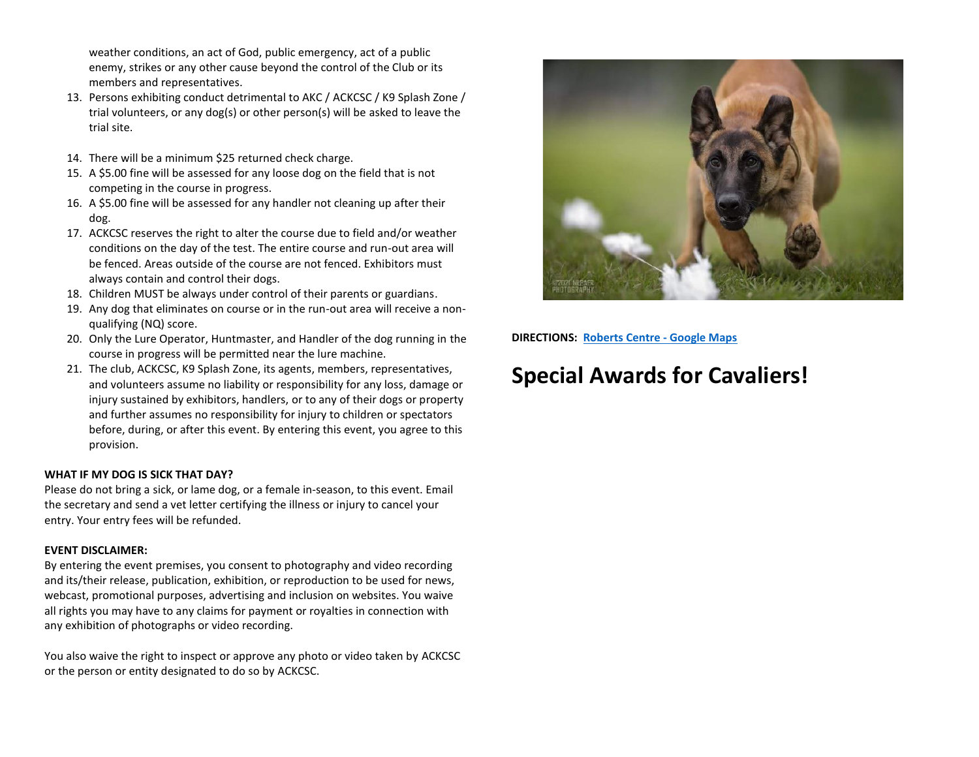weather conditions, an act of God, public emergency, act of a public enemy, strikes or any other cause beyond the control of the Club or its members and representatives.

- 13. Persons exhibiting conduct detrimental to AKC / ACKCSC / K9 Splash Zone / trial volunteers, or any dog(s) or other person(s) will be asked to leave the trial site.
- 14. There will be a minimum \$25 returned check charge.
- 15. A \$5.00 fine will be assessed for any loose dog on the field that is not competing in the course in progress.
- 16. A \$5.00 fine will be assessed for any handler not cleaning up after their dog.
- 17. ACKCSC reserves the right to alter the course due to field and/or weather conditions on the day of the test. The entire course and run-out area will be fenced. Areas outside of the course are not fenced. Exhibitors must always contain and control their dogs.
- 18. Children MUST be always under control of their parents or guardians.
- 19. Any dog that eliminates on course or in the run-out area will receive a nonqualifying (NQ) score.
- 20. Only the Lure Operator, Huntmaster, and Handler of the dog running in the course in progress will be permitted near the lure machine.
- 21. The club, ACKCSC, K9 Splash Zone, its agents, members, representatives, and volunteers assume no liability or responsibility for any loss, damage or injury sustained by exhibitors, handlers, or to any of their dogs or property and further assumes no responsibility for injury to children or spectators before, during, or after this event. By entering this event, you agree to this provision.

#### **WHAT IF MY DOG IS SICK THAT DAY?**

Please do not bring a sick, or lame dog, or a female in-season, to this event. Email the secretary and send a vet letter certifying the illness or injury to cancel your entry. Your entry fees will be refunded.

#### **EVENT DISCLAIMER:**

By entering the event premises, you consent to photography and video recording and its/their release, publication, exhibition, or reproduction to be used for news, webcast, promotional purposes, advertising and inclusion on websites. You waive all rights you may have to any claims for payment or royalties in connection with any exhibition of photographs or video recording.

You also waive the right to inspect or approve any photo or video taken by ACKCSC or the person or entity designated to do so by ACKCSC.



**DIRECTIONS: [Roberts Centre -](https://www.google.com/maps/place/Roberts+Centre/@39.5221898,-83.8448787,17z/data=!3m1!4b1!4m5!3m4!1s0x8840b8d3c757915b:0xcec40842d9d9fd65!8m2!3d39.5221898!4d-83.84269) Google Maps**

# **Special Awards for Cavaliers!**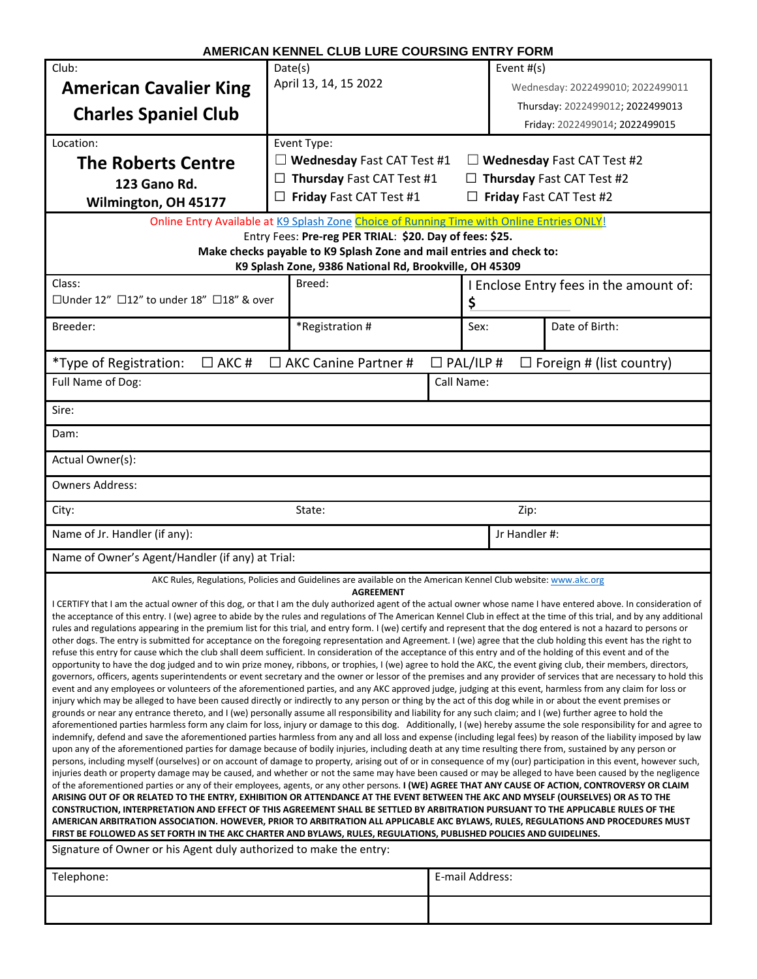|                                                                                                                                                                                                                                                                                                                                                                                                                                                                                                                                                                                                                                                                                                                                                                                                                                                                                                                                                                                                                                                                                                                                                                                                                                                                                                                                                                                                                                                                                                                                                                                                                                                                                                                                                                                                                                                                                                                                                                                                                                                                                                                                                                                                                                                                                                                                                                                                                                                                                                                                                                                                                                                                                                                                                                                                                                                                                                                                                                                                                                                                                                                                                                                                                                                                                                                                                                                                                                                        |                       | AMERICAN KENNEL CLUB LURE COURSING ENTRY FORM                                             |  |                                   |                                        |  |  |
|--------------------------------------------------------------------------------------------------------------------------------------------------------------------------------------------------------------------------------------------------------------------------------------------------------------------------------------------------------------------------------------------------------------------------------------------------------------------------------------------------------------------------------------------------------------------------------------------------------------------------------------------------------------------------------------------------------------------------------------------------------------------------------------------------------------------------------------------------------------------------------------------------------------------------------------------------------------------------------------------------------------------------------------------------------------------------------------------------------------------------------------------------------------------------------------------------------------------------------------------------------------------------------------------------------------------------------------------------------------------------------------------------------------------------------------------------------------------------------------------------------------------------------------------------------------------------------------------------------------------------------------------------------------------------------------------------------------------------------------------------------------------------------------------------------------------------------------------------------------------------------------------------------------------------------------------------------------------------------------------------------------------------------------------------------------------------------------------------------------------------------------------------------------------------------------------------------------------------------------------------------------------------------------------------------------------------------------------------------------------------------------------------------------------------------------------------------------------------------------------------------------------------------------------------------------------------------------------------------------------------------------------------------------------------------------------------------------------------------------------------------------------------------------------------------------------------------------------------------------------------------------------------------------------------------------------------------------------------------------------------------------------------------------------------------------------------------------------------------------------------------------------------------------------------------------------------------------------------------------------------------------------------------------------------------------------------------------------------------------------------------------------------------------------------------------------------------|-----------------------|-------------------------------------------------------------------------------------------|--|-----------------------------------|----------------------------------------|--|--|
| Club:                                                                                                                                                                                                                                                                                                                                                                                                                                                                                                                                                                                                                                                                                                                                                                                                                                                                                                                                                                                                                                                                                                                                                                                                                                                                                                                                                                                                                                                                                                                                                                                                                                                                                                                                                                                                                                                                                                                                                                                                                                                                                                                                                                                                                                                                                                                                                                                                                                                                                                                                                                                                                                                                                                                                                                                                                                                                                                                                                                                                                                                                                                                                                                                                                                                                                                                                                                                                                                                  |                       | Date(s)                                                                                   |  | Event $#(s)$                      |                                        |  |  |
| <b>American Cavalier King</b>                                                                                                                                                                                                                                                                                                                                                                                                                                                                                                                                                                                                                                                                                                                                                                                                                                                                                                                                                                                                                                                                                                                                                                                                                                                                                                                                                                                                                                                                                                                                                                                                                                                                                                                                                                                                                                                                                                                                                                                                                                                                                                                                                                                                                                                                                                                                                                                                                                                                                                                                                                                                                                                                                                                                                                                                                                                                                                                                                                                                                                                                                                                                                                                                                                                                                                                                                                                                                          | April 13, 14, 15 2022 |                                                                                           |  | Wednesday: 2022499010; 2022499011 |                                        |  |  |
| <b>Charles Spaniel Club</b>                                                                                                                                                                                                                                                                                                                                                                                                                                                                                                                                                                                                                                                                                                                                                                                                                                                                                                                                                                                                                                                                                                                                                                                                                                                                                                                                                                                                                                                                                                                                                                                                                                                                                                                                                                                                                                                                                                                                                                                                                                                                                                                                                                                                                                                                                                                                                                                                                                                                                                                                                                                                                                                                                                                                                                                                                                                                                                                                                                                                                                                                                                                                                                                                                                                                                                                                                                                                                            |                       |                                                                                           |  | Thursday: 2022499012; 2022499013  |                                        |  |  |
|                                                                                                                                                                                                                                                                                                                                                                                                                                                                                                                                                                                                                                                                                                                                                                                                                                                                                                                                                                                                                                                                                                                                                                                                                                                                                                                                                                                                                                                                                                                                                                                                                                                                                                                                                                                                                                                                                                                                                                                                                                                                                                                                                                                                                                                                                                                                                                                                                                                                                                                                                                                                                                                                                                                                                                                                                                                                                                                                                                                                                                                                                                                                                                                                                                                                                                                                                                                                                                                        |                       |                                                                                           |  |                                   | Friday: 2022499014; 2022499015         |  |  |
| Location:                                                                                                                                                                                                                                                                                                                                                                                                                                                                                                                                                                                                                                                                                                                                                                                                                                                                                                                                                                                                                                                                                                                                                                                                                                                                                                                                                                                                                                                                                                                                                                                                                                                                                                                                                                                                                                                                                                                                                                                                                                                                                                                                                                                                                                                                                                                                                                                                                                                                                                                                                                                                                                                                                                                                                                                                                                                                                                                                                                                                                                                                                                                                                                                                                                                                                                                                                                                                                                              |                       | Event Type:<br>$\Box$ Wednesday Fast CAT Test #1                                          |  |                                   | $\Box$ Wednesday Fast CAT Test #2      |  |  |
| <b>The Roberts Centre</b>                                                                                                                                                                                                                                                                                                                                                                                                                                                                                                                                                                                                                                                                                                                                                                                                                                                                                                                                                                                                                                                                                                                                                                                                                                                                                                                                                                                                                                                                                                                                                                                                                                                                                                                                                                                                                                                                                                                                                                                                                                                                                                                                                                                                                                                                                                                                                                                                                                                                                                                                                                                                                                                                                                                                                                                                                                                                                                                                                                                                                                                                                                                                                                                                                                                                                                                                                                                                                              |                       | $\Box$ Thursday Fast CAT Test #1                                                          |  |                                   | $\Box$ Thursday Fast CAT Test #2       |  |  |
| 123 Gano Rd.<br>Wilmington, OH 45177                                                                                                                                                                                                                                                                                                                                                                                                                                                                                                                                                                                                                                                                                                                                                                                                                                                                                                                                                                                                                                                                                                                                                                                                                                                                                                                                                                                                                                                                                                                                                                                                                                                                                                                                                                                                                                                                                                                                                                                                                                                                                                                                                                                                                                                                                                                                                                                                                                                                                                                                                                                                                                                                                                                                                                                                                                                                                                                                                                                                                                                                                                                                                                                                                                                                                                                                                                                                                   |                       | $\Box$ Friday Fast CAT Test #1                                                            |  | Friday Fast CAT Test #2           |                                        |  |  |
|                                                                                                                                                                                                                                                                                                                                                                                                                                                                                                                                                                                                                                                                                                                                                                                                                                                                                                                                                                                                                                                                                                                                                                                                                                                                                                                                                                                                                                                                                                                                                                                                                                                                                                                                                                                                                                                                                                                                                                                                                                                                                                                                                                                                                                                                                                                                                                                                                                                                                                                                                                                                                                                                                                                                                                                                                                                                                                                                                                                                                                                                                                                                                                                                                                                                                                                                                                                                                                                        |                       | Online Entry Available at K9 Splash Zone Choice of Running Time with Online Entries ONLY! |  |                                   |                                        |  |  |
|                                                                                                                                                                                                                                                                                                                                                                                                                                                                                                                                                                                                                                                                                                                                                                                                                                                                                                                                                                                                                                                                                                                                                                                                                                                                                                                                                                                                                                                                                                                                                                                                                                                                                                                                                                                                                                                                                                                                                                                                                                                                                                                                                                                                                                                                                                                                                                                                                                                                                                                                                                                                                                                                                                                                                                                                                                                                                                                                                                                                                                                                                                                                                                                                                                                                                                                                                                                                                                                        |                       | Entry Fees: Pre-reg PER TRIAL: \$20. Day of fees: \$25.                                   |  |                                   |                                        |  |  |
|                                                                                                                                                                                                                                                                                                                                                                                                                                                                                                                                                                                                                                                                                                                                                                                                                                                                                                                                                                                                                                                                                                                                                                                                                                                                                                                                                                                                                                                                                                                                                                                                                                                                                                                                                                                                                                                                                                                                                                                                                                                                                                                                                                                                                                                                                                                                                                                                                                                                                                                                                                                                                                                                                                                                                                                                                                                                                                                                                                                                                                                                                                                                                                                                                                                                                                                                                                                                                                                        |                       | Make checks payable to K9 Splash Zone and mail entries and check to:                      |  |                                   |                                        |  |  |
| Class:                                                                                                                                                                                                                                                                                                                                                                                                                                                                                                                                                                                                                                                                                                                                                                                                                                                                                                                                                                                                                                                                                                                                                                                                                                                                                                                                                                                                                                                                                                                                                                                                                                                                                                                                                                                                                                                                                                                                                                                                                                                                                                                                                                                                                                                                                                                                                                                                                                                                                                                                                                                                                                                                                                                                                                                                                                                                                                                                                                                                                                                                                                                                                                                                                                                                                                                                                                                                                                                 |                       | K9 Splash Zone, 9386 National Rd, Brookville, OH 45309<br>Breed:                          |  |                                   |                                        |  |  |
| □Under 12" $\Box$ 12" to under 18" $\Box$ 18" & over                                                                                                                                                                                                                                                                                                                                                                                                                                                                                                                                                                                                                                                                                                                                                                                                                                                                                                                                                                                                                                                                                                                                                                                                                                                                                                                                                                                                                                                                                                                                                                                                                                                                                                                                                                                                                                                                                                                                                                                                                                                                                                                                                                                                                                                                                                                                                                                                                                                                                                                                                                                                                                                                                                                                                                                                                                                                                                                                                                                                                                                                                                                                                                                                                                                                                                                                                                                                   |                       |                                                                                           |  | \$                                | I Enclose Entry fees in the amount of: |  |  |
| Breeder:                                                                                                                                                                                                                                                                                                                                                                                                                                                                                                                                                                                                                                                                                                                                                                                                                                                                                                                                                                                                                                                                                                                                                                                                                                                                                                                                                                                                                                                                                                                                                                                                                                                                                                                                                                                                                                                                                                                                                                                                                                                                                                                                                                                                                                                                                                                                                                                                                                                                                                                                                                                                                                                                                                                                                                                                                                                                                                                                                                                                                                                                                                                                                                                                                                                                                                                                                                                                                                               |                       | *Registration #                                                                           |  | Sex:                              | Date of Birth:                         |  |  |
|                                                                                                                                                                                                                                                                                                                                                                                                                                                                                                                                                                                                                                                                                                                                                                                                                                                                                                                                                                                                                                                                                                                                                                                                                                                                                                                                                                                                                                                                                                                                                                                                                                                                                                                                                                                                                                                                                                                                                                                                                                                                                                                                                                                                                                                                                                                                                                                                                                                                                                                                                                                                                                                                                                                                                                                                                                                                                                                                                                                                                                                                                                                                                                                                                                                                                                                                                                                                                                                        |                       |                                                                                           |  |                                   |                                        |  |  |
| *Type of Registration:<br>$\Box$ AKC#                                                                                                                                                                                                                                                                                                                                                                                                                                                                                                                                                                                                                                                                                                                                                                                                                                                                                                                                                                                                                                                                                                                                                                                                                                                                                                                                                                                                                                                                                                                                                                                                                                                                                                                                                                                                                                                                                                                                                                                                                                                                                                                                                                                                                                                                                                                                                                                                                                                                                                                                                                                                                                                                                                                                                                                                                                                                                                                                                                                                                                                                                                                                                                                                                                                                                                                                                                                                                  |                       | $\Box$ AKC Canine Partner #                                                               |  | $\Box$ PAL/ILP #                  | $\Box$ Foreign # (list country)        |  |  |
| Full Name of Dog:                                                                                                                                                                                                                                                                                                                                                                                                                                                                                                                                                                                                                                                                                                                                                                                                                                                                                                                                                                                                                                                                                                                                                                                                                                                                                                                                                                                                                                                                                                                                                                                                                                                                                                                                                                                                                                                                                                                                                                                                                                                                                                                                                                                                                                                                                                                                                                                                                                                                                                                                                                                                                                                                                                                                                                                                                                                                                                                                                                                                                                                                                                                                                                                                                                                                                                                                                                                                                                      |                       |                                                                                           |  | Call Name:                        |                                        |  |  |
| Sire:                                                                                                                                                                                                                                                                                                                                                                                                                                                                                                                                                                                                                                                                                                                                                                                                                                                                                                                                                                                                                                                                                                                                                                                                                                                                                                                                                                                                                                                                                                                                                                                                                                                                                                                                                                                                                                                                                                                                                                                                                                                                                                                                                                                                                                                                                                                                                                                                                                                                                                                                                                                                                                                                                                                                                                                                                                                                                                                                                                                                                                                                                                                                                                                                                                                                                                                                                                                                                                                  |                       |                                                                                           |  |                                   |                                        |  |  |
| Dam:                                                                                                                                                                                                                                                                                                                                                                                                                                                                                                                                                                                                                                                                                                                                                                                                                                                                                                                                                                                                                                                                                                                                                                                                                                                                                                                                                                                                                                                                                                                                                                                                                                                                                                                                                                                                                                                                                                                                                                                                                                                                                                                                                                                                                                                                                                                                                                                                                                                                                                                                                                                                                                                                                                                                                                                                                                                                                                                                                                                                                                                                                                                                                                                                                                                                                                                                                                                                                                                   |                       |                                                                                           |  |                                   |                                        |  |  |
| Actual Owner(s):                                                                                                                                                                                                                                                                                                                                                                                                                                                                                                                                                                                                                                                                                                                                                                                                                                                                                                                                                                                                                                                                                                                                                                                                                                                                                                                                                                                                                                                                                                                                                                                                                                                                                                                                                                                                                                                                                                                                                                                                                                                                                                                                                                                                                                                                                                                                                                                                                                                                                                                                                                                                                                                                                                                                                                                                                                                                                                                                                                                                                                                                                                                                                                                                                                                                                                                                                                                                                                       |                       |                                                                                           |  |                                   |                                        |  |  |
| <b>Owners Address:</b>                                                                                                                                                                                                                                                                                                                                                                                                                                                                                                                                                                                                                                                                                                                                                                                                                                                                                                                                                                                                                                                                                                                                                                                                                                                                                                                                                                                                                                                                                                                                                                                                                                                                                                                                                                                                                                                                                                                                                                                                                                                                                                                                                                                                                                                                                                                                                                                                                                                                                                                                                                                                                                                                                                                                                                                                                                                                                                                                                                                                                                                                                                                                                                                                                                                                                                                                                                                                                                 |                       |                                                                                           |  |                                   |                                        |  |  |
| City:                                                                                                                                                                                                                                                                                                                                                                                                                                                                                                                                                                                                                                                                                                                                                                                                                                                                                                                                                                                                                                                                                                                                                                                                                                                                                                                                                                                                                                                                                                                                                                                                                                                                                                                                                                                                                                                                                                                                                                                                                                                                                                                                                                                                                                                                                                                                                                                                                                                                                                                                                                                                                                                                                                                                                                                                                                                                                                                                                                                                                                                                                                                                                                                                                                                                                                                                                                                                                                                  | State:                |                                                                                           |  | Zip:                              |                                        |  |  |
| Jr Handler #:<br>Name of Jr. Handler (if any):                                                                                                                                                                                                                                                                                                                                                                                                                                                                                                                                                                                                                                                                                                                                                                                                                                                                                                                                                                                                                                                                                                                                                                                                                                                                                                                                                                                                                                                                                                                                                                                                                                                                                                                                                                                                                                                                                                                                                                                                                                                                                                                                                                                                                                                                                                                                                                                                                                                                                                                                                                                                                                                                                                                                                                                                                                                                                                                                                                                                                                                                                                                                                                                                                                                                                                                                                                                                         |                       |                                                                                           |  |                                   |                                        |  |  |
| Name of Owner's Agent/Handler (if any) at Trial:                                                                                                                                                                                                                                                                                                                                                                                                                                                                                                                                                                                                                                                                                                                                                                                                                                                                                                                                                                                                                                                                                                                                                                                                                                                                                                                                                                                                                                                                                                                                                                                                                                                                                                                                                                                                                                                                                                                                                                                                                                                                                                                                                                                                                                                                                                                                                                                                                                                                                                                                                                                                                                                                                                                                                                                                                                                                                                                                                                                                                                                                                                                                                                                                                                                                                                                                                                                                       |                       |                                                                                           |  |                                   |                                        |  |  |
| AKC Rules, Regulations, Policies and Guidelines are available on the American Kennel Club website: www.akc.org<br><b>AGREEMENT</b><br>I CERTIFY that I am the actual owner of this dog, or that I am the duly authorized agent of the actual owner whose name I have entered above. In consideration of<br>the acceptance of this entry. I (we) agree to abide by the rules and regulations of The American Kennel Club in effect at the time of this trial, and by any additional<br>rules and regulations appearing in the premium list for this trial, and entry form. I (we) certify and represent that the dog entered is not a hazard to persons or<br>other dogs. The entry is submitted for acceptance on the foregoing representation and Agreement. I (we) agree that the club holding this event has the right to<br>refuse this entry for cause which the club shall deem sufficient. In consideration of the acceptance of this entry and of the holding of this event and of the<br>opportunity to have the dog judged and to win prize money, ribbons, or trophies, I (we) agree to hold the AKC, the event giving club, their members, directors,<br>governors, officers, agents superintendents or event secretary and the owner or lessor of the premises and any provider of services that are necessary to hold this<br>event and any employees or volunteers of the aforementioned parties, and any AKC approved judge, judging at this event, harmless from any claim for loss or<br>injury which may be alleged to have been caused directly or indirectly to any person or thing by the act of this dog while in or about the event premises or<br>grounds or near any entrance thereto, and I (we) personally assume all responsibility and liability for any such claim; and I (we) further agree to hold the<br>aforementioned parties harmless form any claim for loss, injury or damage to this dog. Additionally, I (we) hereby assume the sole responsibility for and agree to<br>indemnify, defend and save the aforementioned parties harmless from any and all loss and expense (including legal fees) by reason of the liability imposed by law<br>upon any of the aforementioned parties for damage because of bodily injuries, including death at any time resulting there from, sustained by any person or<br>persons, including myself (ourselves) or on account of damage to property, arising out of or in consequence of my (our) participation in this event, however such,<br>injuries death or property damage may be caused, and whether or not the same may have been caused or may be alleged to have been caused by the negligence<br>of the aforementioned parties or any of their employees, agents, or any other persons. I (WE) AGREE THAT ANY CAUSE OF ACTION, CONTROVERSY OR CLAIM<br>ARISING OUT OF OR RELATED TO THE ENTRY, EXHIBITION OR ATTENDANCE AT THE EVENT BETWEEN THE AKC AND MYSELF (OURSELVES) OR AS TO THE<br>CONSTRUCTION, INTERPRETATION AND EFFECT OF THIS AGREEMENT SHALL BE SETTLED BY ARBITRATION PURSUANT TO THE APPLICABLE RULES OF THE<br>AMERICAN ARBITRATION ASSOCIATION. HOWEVER, PRIOR TO ARBITRATION ALL APPLICABLE AKC BYLAWS, RULES, REGULATIONS AND PROCEDURES MUST<br>FIRST BE FOLLOWED AS SET FORTH IN THE AKC CHARTER AND BYLAWS, RULES, REGULATIONS, PUBLISHED POLICIES AND GUIDELINES.<br>Signature of Owner or his Agent duly authorized to make the entry: |                       |                                                                                           |  |                                   |                                        |  |  |
| Telephone:                                                                                                                                                                                                                                                                                                                                                                                                                                                                                                                                                                                                                                                                                                                                                                                                                                                                                                                                                                                                                                                                                                                                                                                                                                                                                                                                                                                                                                                                                                                                                                                                                                                                                                                                                                                                                                                                                                                                                                                                                                                                                                                                                                                                                                                                                                                                                                                                                                                                                                                                                                                                                                                                                                                                                                                                                                                                                                                                                                                                                                                                                                                                                                                                                                                                                                                                                                                                                                             |                       |                                                                                           |  | E-mail Address:                   |                                        |  |  |
|                                                                                                                                                                                                                                                                                                                                                                                                                                                                                                                                                                                                                                                                                                                                                                                                                                                                                                                                                                                                                                                                                                                                                                                                                                                                                                                                                                                                                                                                                                                                                                                                                                                                                                                                                                                                                                                                                                                                                                                                                                                                                                                                                                                                                                                                                                                                                                                                                                                                                                                                                                                                                                                                                                                                                                                                                                                                                                                                                                                                                                                                                                                                                                                                                                                                                                                                                                                                                                                        |                       |                                                                                           |  |                                   |                                        |  |  |